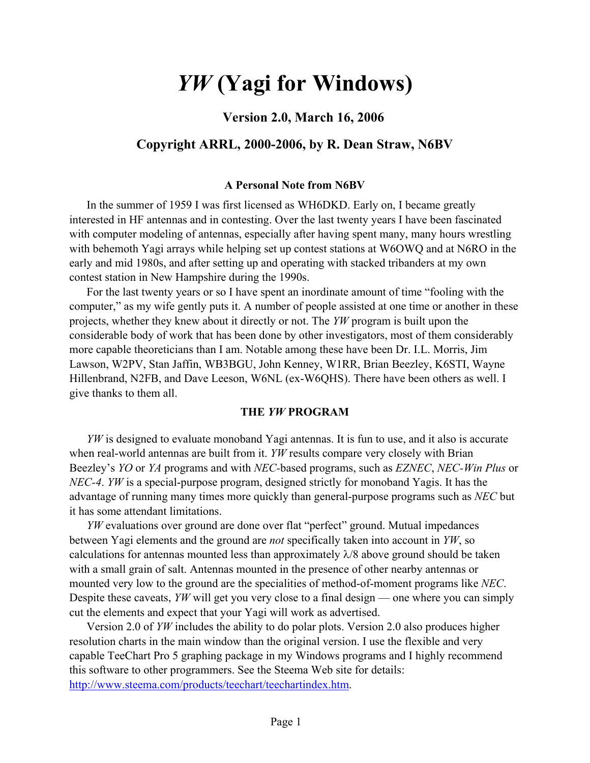# *YW* **(Yagi for Windows)**

# **Version 2.0, March 16, 2006**

# **Copyright ARRL, 2000-2006, by R. Dean Straw, N6BV**

### **A Personal Note from N6BV**

In the summer of 1959 I was first licensed as WH6DKD. Early on, I became greatly interested in HF antennas and in contesting. Over the last twenty years I have been fascinated with computer modeling of antennas, especially after having spent many, many hours wrestling with behemoth Yagi arrays while helping set up contest stations at W6OWQ and at N6RO in the early and mid 1980s, and after setting up and operating with stacked tribanders at my own contest station in New Hampshire during the 1990s.

For the last twenty years or so I have spent an inordinate amount of time "fooling with the computer," as my wife gently puts it. A number of people assisted at one time or another in these projects, whether they knew about it directly or not. The *YW* program is built upon the considerable body of work that has been done by other investigators, most of them considerably more capable theoreticians than I am. Notable among these have been Dr. I.L. Morris, Jim Lawson, W2PV, Stan Jaffin, WB3BGU, John Kenney, W1RR, Brian Beezley, K6STI, Wayne Hillenbrand, N2FB, and Dave Leeson, W6NL (ex-W6QHS). There have been others as well. I give thanks to them all.

### **THE** *YW* **PROGRAM**

*YW* is designed to evaluate monoband Yagi antennas. It is fun to use, and it also is accurate when real-world antennas are built from it. *YW* results compare very closely with Brian Beezley's *YO* or *YA* programs and with *NEC-*based programs, such as *EZNEC*, *NEC-Win Plus* or *NEC-4*. *YW* is a special-purpose program, designed strictly for monoband Yagis. It has the advantage of running many times more quickly than general-purpose programs such as *NEC* but it has some attendant limitations.

*YW* evaluations over ground are done over flat "perfect" ground. Mutual impedances between Yagi elements and the ground are *not* specifically taken into account in *YW*, so calculations for antennas mounted less than approximately  $\lambda$ /8 above ground should be taken with a small grain of salt. Antennas mounted in the presence of other nearby antennas or mounted very low to the ground are the specialities of method-of-moment programs like *NEC*. Despite these caveats, *YW* will get you very close to a final design — one where you can simply cut the elements and expect that your Yagi will work as advertised.

Version 2.0 of *YW* includes the ability to do polar plots. Version 2.0 also produces higher resolution charts in the main window than the original version. I use the flexible and very capable TeeChart Pro 5 graphing package in my Windows programs and I highly recommend this software to other programmers. See the Steema Web site for details: <http://www.steema.com/products/teechart/teechartindex.htm>.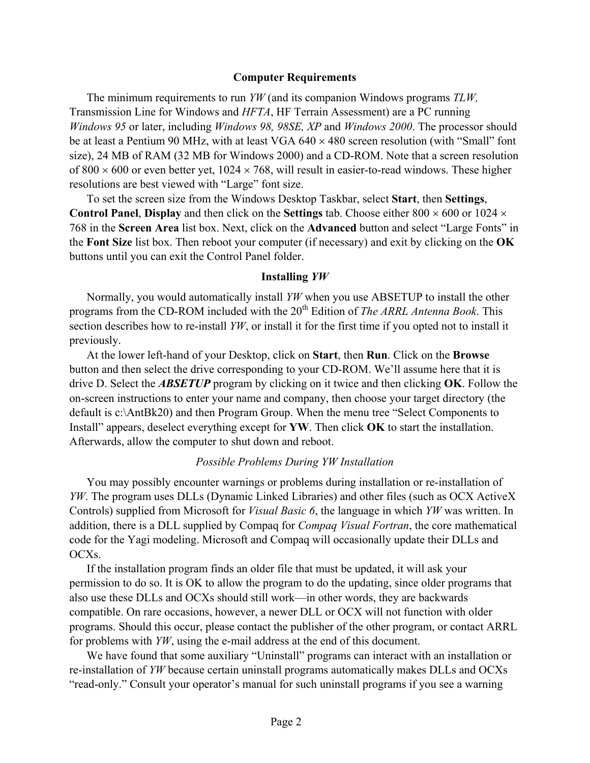#### **Computer Requirements**

The minimum requirements to run *YW* (and its companion Windows programs *TLW,*  Transmission Line for Windows and *HFTA*, HF Terrain Assessment) are a PC running *Windows 95* or later, including *Windows 98, 98SE, XP* and *Windows 2000*. The processor should be at least a Pentium 90 MHz, with at least VGA  $640 \times 480$  screen resolution (with "Small" font size), 24 MB of RAM (32 MB for Windows 2000) and a CD-ROM. Note that a screen resolution of  $800 \times 600$  or even better yet,  $1024 \times 768$ , will result in easier-to-read windows. These higher resolutions are best viewed with "Large" font size.

To set the screen size from the Windows Desktop Taskbar, select **Start**, then **Settings**, **Control Panel, Display** and then click on the **Settings** tab. Choose either 800  $\times$  600 or 1024  $\times$ 768 in the **Screen Area** list box. Next, click on the **Advanced** button and select "Large Fonts" in the **Font Size** list box. Then reboot your computer (if necessary) and exit by clicking on the **OK** buttons until you can exit the Control Panel folder.

#### **Installing** *YW*

Normally, you would automatically install *YW* when you use ABSETUP to install the other programs from the CD-ROM included with the 20<sup>th</sup> Edition of *The ARRL Antenna Book*. This section describes how to re-install *YW*, or install it for the first time if you opted not to install it previously.

At the lower left-hand of your Desktop, click on **Start**, then **Run**. Click on the **Browse** button and then select the drive corresponding to your CD-ROM. We'll assume here that it is drive D. Select the *ABSETUP* program by clicking on it twice and then clicking **OK**. Follow the on-screen instructions to enter your name and company, then choose your target directory (the default is c:\AntBk20) and then Program Group. When the menu tree "Select Components to Install" appears, deselect everything except for **YW**. Then click **OK** to start the installation. Afterwards, allow the computer to shut down and reboot.

### *Possible Problems During YW Installation*

You may possibly encounter warnings or problems during installation or re-installation of *YW*. The program uses DLLs (Dynamic Linked Libraries) and other files (such as OCX ActiveX Controls) supplied from Microsoft for *Visual Basic 6*, the language in which *YW* was written. In addition, there is a DLL supplied by Compaq for *Compaq Visual Fortran*, the core mathematical code for the Yagi modeling. Microsoft and Compaq will occasionally update their DLLs and OCXs.

If the installation program finds an older file that must be updated, it will ask your permission to do so. It is OK to allow the program to do the updating, since older programs that also use these DLLs and OCXs should still work—in other words, they are backwards compatible. On rare occasions, however, a newer DLL or OCX will not function with older programs. Should this occur, please contact the publisher of the other program, or contact ARRL for problems with *YW*, using the e-mail address at the end of this document.

We have found that some auxiliary "Uninstall" programs can interact with an installation or re-installation of *YW* because certain uninstall programs automatically makes DLLs and OCXs "read-only." Consult your operator's manual for such uninstall programs if you see a warning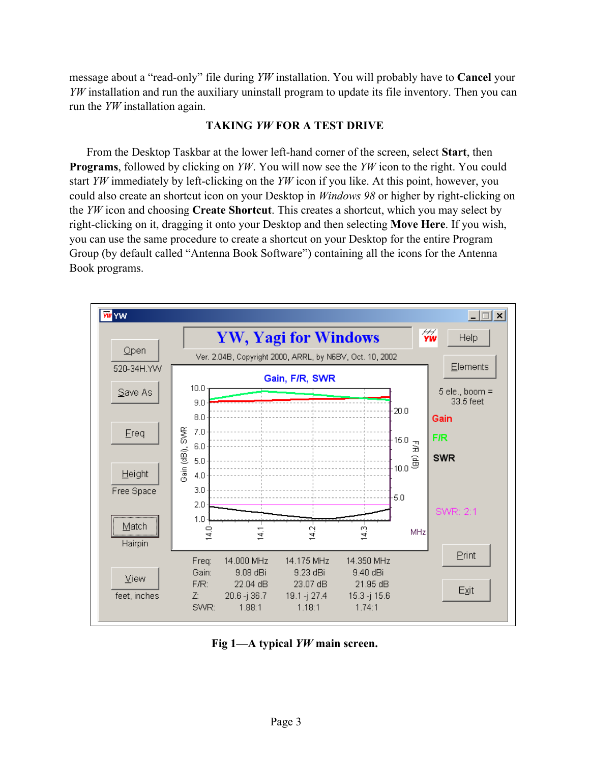message about a "read-only" file during *YW* installation. You will probably have to **Cancel** your *YW* installation and run the auxiliary uninstall program to update its file inventory. Then you can run the *YW* installation again.

# **TAKING** *YW* **FOR A TEST DRIVE**

From the Desktop Taskbar at the lower left-hand corner of the screen, select **Start**, then **Programs**, followed by clicking on *YW*. You will now see the *YW* icon to the right. You could start *YW* immediately by left-clicking on the *YW* icon if you like. At this point, however, you could also create an shortcut icon on your Desktop in *Windows 98* or higher by right-clicking on the *YW* icon and choosing **Create Shortcut**. This creates a shortcut, which you may select by right-clicking on it, dragging it onto your Desktop and then selecting **Move Here**. If you wish, you can use the same procedure to create a shortcut on your Desktop for the entire Program Group (by default called "Antenna Book Software") containing all the icons for the Antenna Book programs.



**Fig 1—A typical** *YW* **main screen.**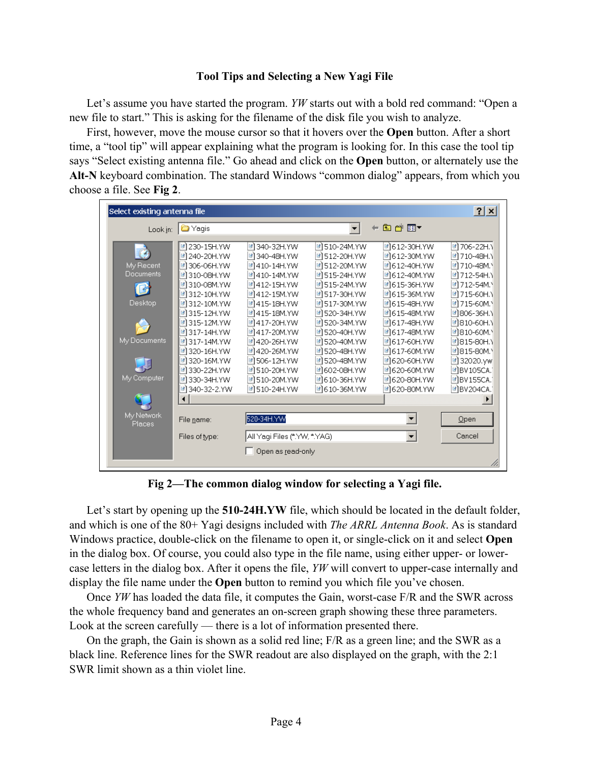# **Tool Tips and Selecting a New Yagi File**

Let's assume you have started the program. *YW* starts out with a bold red command: "Open a new file to start." This is asking for the filename of the disk file you wish to analyze.

First, however, move the mouse cursor so that it hovers over the **Open** button. After a short time, a "tool tip" will appear explaining what the program is looking for. In this case the tool tip says "Select existing antenna file." Go ahead and click on the **Open** button, or alternately use the **Alt-N** keyboard combination. The standard Windows "common dialog" appears, from which you choose a file. See **Fig 2**.

| Select existing antenna file                                                          |                                                                                                                                                                                                                                                         |                                                                                                                                                                                                                                                                                        |                                                                                                                                                                                                                                                                                   |                                                                                                                                                                                                                                                          | $ ?  \times$                                                                                                                                                                                                                                                                          |
|---------------------------------------------------------------------------------------|---------------------------------------------------------------------------------------------------------------------------------------------------------------------------------------------------------------------------------------------------------|----------------------------------------------------------------------------------------------------------------------------------------------------------------------------------------------------------------------------------------------------------------------------------------|-----------------------------------------------------------------------------------------------------------------------------------------------------------------------------------------------------------------------------------------------------------------------------------|----------------------------------------------------------------------------------------------------------------------------------------------------------------------------------------------------------------------------------------------------------|---------------------------------------------------------------------------------------------------------------------------------------------------------------------------------------------------------------------------------------------------------------------------------------|
|                                                                                       | Look in: <b>C</b> Yagis                                                                                                                                                                                                                                 |                                                                                                                                                                                                                                                                                        | $\blacktriangledown$                                                                                                                                                                                                                                                              | 白び囲く<br>$\leftarrow$                                                                                                                                                                                                                                     |                                                                                                                                                                                                                                                                                       |
| $\mathbf{G}$<br>My Recent<br>Documents<br>引<br>Desktop<br>My Documents<br>My Computer | 메230-15H.YW<br><b>메</b> 240-20H.YW<br>■1306-06H.YW<br><b>메310-08H.YW</b><br>메310-08M.YW<br>메312-10H.YW<br>메312-10M.YW<br>메315-12H.YW<br>메315-12M.YW<br>메317-14H.YW<br>메317-14M.YW<br>■ 320-16H.YW<br>■ 320-16M.YW<br>메330-22H.YW<br><b>■1330-34H.YW</b> | 340-32H.YW<br>ø<br>ß,<br>340-48H.YW<br>410-14H.YW<br>B,<br>메410-14M.YW<br>메412-15H.YW<br>412-15M.YW<br>B)<br>메415-18H.YW<br>메415-18M.YW<br>417-20H.YW<br>Ø1<br><b>B</b><br>417-20M.YW<br>메420-26H.YW<br>420-26M.YW<br>N,<br>Ø)<br>506-12H.YW<br><b>메510-20H.YW</b><br>510-20M.YW<br>ß, | <b>메510-24M.YW</b><br><b>라</b> 512-20H.YW<br>메512-20M.YW<br>메515-24H.YW<br><b>메515-24M.YW</b><br>■1517-30H.YW<br>메517-30M.YW<br>메520-34H.YW<br>团520-34M.YW<br><sup>2</sup> 520-40H.YW<br><b>메 520-40M.YW</b><br>■1520-48H.YW<br><b>미</b> 520-48M.YW<br>메602-08H.YW<br>메610-36H.YW | 메612-30H.YW<br><b>메612-30M.YW</b><br>메612-40H.YW<br>메612-40M.YW<br>메615-36H.YW<br>메615-36M.YW<br>메615-48H.YW<br>메615-48M.YW<br><sup>■</sup> 1617-48H.YW<br>■617-48M.YW<br>메617-60H.YW<br>메617-60M.YW<br><b>메620-60H.YW</b><br>메620-60M.YW<br>메620-80H.YW | <b>메 706-22H.\</b><br><b>[레</b> 710-48H.N<br>메 710-48M.\<br>메 712-54H.\<br><b>메 712-54M.</b><br>메 715-60H.\<br>메 715-60M.<br>메806-36H.N<br>메810-60H.N<br><mark>■</mark> 810-60M.\<br>메815-80H.N<br>메815-80M.<br><mark>■</mark> 32020.yw<br><sup>2</sup> BV105CA.<br><u>■</u> BV155CA. |
|                                                                                       | 메 340-32-2.YW<br>◂                                                                                                                                                                                                                                      | <b>메510-24H.YW</b>                                                                                                                                                                                                                                                                     | ■610-36M.YW                                                                                                                                                                                                                                                                       | <b>메620-80M.YW</b>                                                                                                                                                                                                                                       | <b>■BV204CA.</b>                                                                                                                                                                                                                                                                      |
| My Network<br>Places                                                                  | File name:                                                                                                                                                                                                                                              | 520-34H.YW                                                                                                                                                                                                                                                                             |                                                                                                                                                                                                                                                                                   | $\blacktriangledown$                                                                                                                                                                                                                                     | Qpen                                                                                                                                                                                                                                                                                  |
|                                                                                       | Files of type:                                                                                                                                                                                                                                          | All Yaqi Files (*.YW, *.YAG)                                                                                                                                                                                                                                                           |                                                                                                                                                                                                                                                                                   | $\vert \cdot \vert$                                                                                                                                                                                                                                      | Cancel                                                                                                                                                                                                                                                                                |
|                                                                                       |                                                                                                                                                                                                                                                         | Open as read-only                                                                                                                                                                                                                                                                      |                                                                                                                                                                                                                                                                                   |                                                                                                                                                                                                                                                          |                                                                                                                                                                                                                                                                                       |

**Fig 2—The common dialog window for selecting a Yagi file.** 

Let's start by opening up the **510-24H.YW** file, which should be located in the default folder, and which is one of the 80+ Yagi designs included with *The ARRL Antenna Book*. As is standard Windows practice, double-click on the filename to open it, or single-click on it and select **Open** in the dialog box. Of course, you could also type in the file name, using either upper- or lowercase letters in the dialog box. After it opens the file, *YW* will convert to upper-case internally and display the file name under the **Open** button to remind you which file you've chosen.

Once *YW* has loaded the data file, it computes the Gain, worst-case F/R and the SWR across the whole frequency band and generates an on-screen graph showing these three parameters. Look at the screen carefully — there is a lot of information presented there.

On the graph, the Gain is shown as a solid red line; F/R as a green line; and the SWR as a black line. Reference lines for the SWR readout are also displayed on the graph, with the 2:1 SWR limit shown as a thin violet line.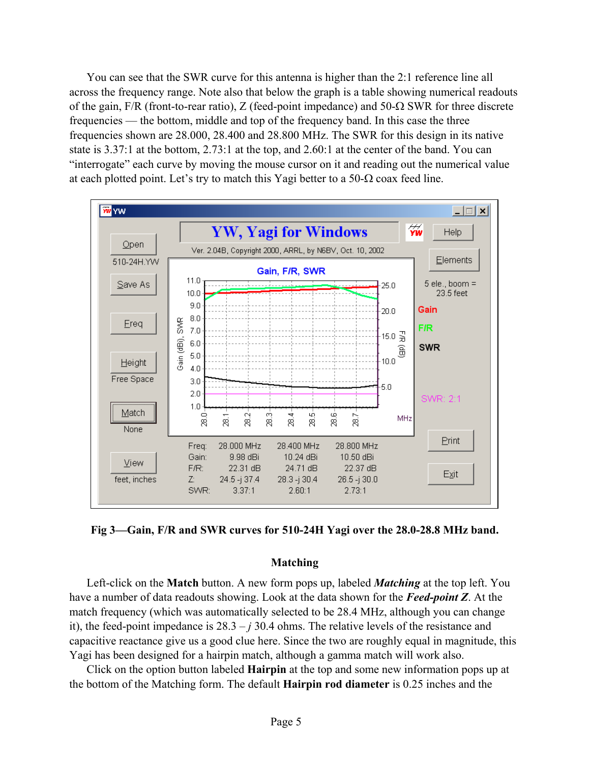You can see that the SWR curve for this antenna is higher than the 2:1 reference line all across the frequency range. Note also that below the graph is a table showing numerical readouts of the gain, F/R (front-to-rear ratio), Z (feed-point impedance) and 50-Ω SWR for three discrete frequencies — the bottom, middle and top of the frequency band. In this case the three frequencies shown are 28.000, 28.400 and 28.800 MHz. The SWR for this design in its native state is 3.37:1 at the bottom, 2.73:1 at the top, and 2.60:1 at the center of the band. You can "interrogate" each curve by moving the mouse cursor on it and reading out the numerical value at each plotted point. Let's try to match this Yagi better to a 50- $\Omega$  coax feed line.



**Fig 3—Gain, F/R and SWR curves for 510-24H Yagi over the 28.0-28.8 MHz band.** 

# **Matching**

Left-click on the **Match** button. A new form pops up, labeled *Matching* at the top left. You have a number of data readouts showing. Look at the data shown for the *Feed-point Z*. At the match frequency (which was automatically selected to be 28.4 MHz, although you can change it), the feed-point impedance is  $28.3 - j30.4$  ohms. The relative levels of the resistance and capacitive reactance give us a good clue here. Since the two are roughly equal in magnitude, this Yagi has been designed for a hairpin match, although a gamma match will work also.

Click on the option button labeled **Hairpin** at the top and some new information pops up at the bottom of the Matching form. The default **Hairpin rod diameter** is 0.25 inches and the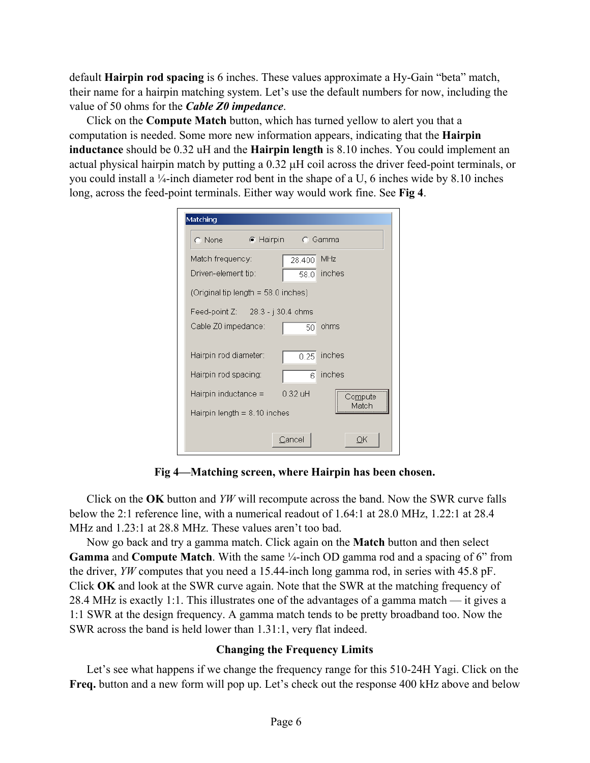default **Hairpin rod spacing** is 6 inches. These values approximate a Hy-Gain "beta" match, their name for a hairpin matching system. Let's use the default numbers for now, including the value of 50 ohms for the *Cable Z0 impedance*.

Click on the **Compute Match** button, which has turned yellow to alert you that a computation is needed. Some more new information appears, indicating that the **Hairpin inductance** should be 0.32 uH and the **Hairpin length** is 8.10 inches. You could implement an actual physical hairpin match by putting a  $0.32 \mu$ H coil across the driver feed-point terminals, or you could install a ¼-inch diameter rod bent in the shape of a U, 6 inches wide by 8.10 inches long, across the feed-point terminals. Either way would work fine. See **Fig 4**.

| Matching                            |                           |
|-------------------------------------|---------------------------|
|                                     |                           |
| Match frequency:                    | MHz<br>28.400             |
| Driven-element tip:                 | inches<br>58.0            |
| (Original tip length = 58.0 inches) |                           |
| Feed-point $Z$ : 28.3 - j 30.4 ohms |                           |
| Cable Z0 impedance:                 | ohms<br>50                |
| Hairpin rod diameter:               | inches<br>0.25            |
| Hairpin rod spacing:                | inches<br>$6\overline{6}$ |
| Hairpin inductance $=$              | $0.32$ uH<br>Compute      |
| Hairpin length $= 8.10$ inches      | Mateh                     |
|                                     | Cancel<br>ОK              |

**Fig 4—Matching screen, where Hairpin has been chosen.** 

Click on the **OK** button and *YW* will recompute across the band. Now the SWR curve falls below the 2:1 reference line, with a numerical readout of 1.64:1 at 28.0 MHz, 1.22:1 at 28.4 MHz and 1.23:1 at 28.8 MHz. These values aren't too bad.

Now go back and try a gamma match. Click again on the **Match** button and then select **Gamma** and **Compute Match**. With the same ¼-inch OD gamma rod and a spacing of 6" from the driver, *YW* computes that you need a 15.44-inch long gamma rod, in series with 45.8 pF. Click **OK** and look at the SWR curve again. Note that the SWR at the matching frequency of 28.4 MHz is exactly 1:1. This illustrates one of the advantages of a gamma match — it gives a 1:1 SWR at the design frequency. A gamma match tends to be pretty broadband too. Now the SWR across the band is held lower than 1.31:1, very flat indeed.

# **Changing the Frequency Limits**

Let's see what happens if we change the frequency range for this 510-24H Yagi. Click on the **Freq.** button and a new form will pop up. Let's check out the response 400 kHz above and below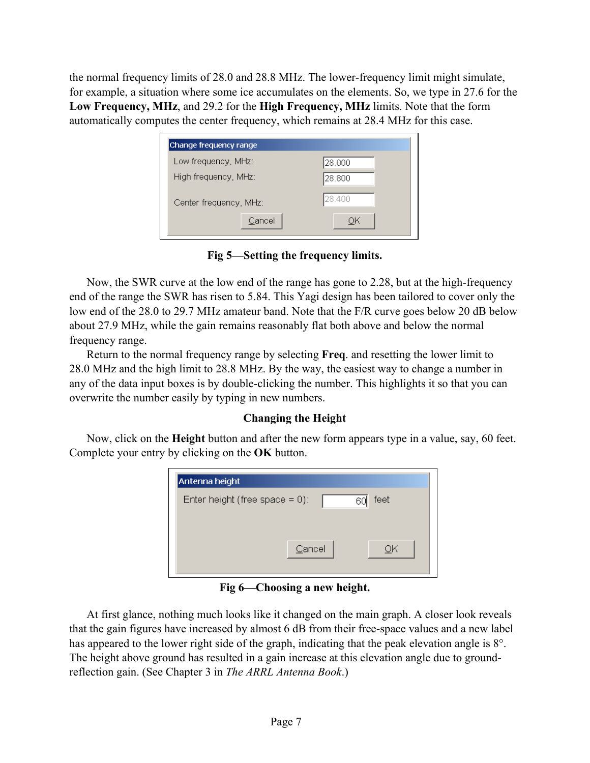the normal frequency limits of 28.0 and 28.8 MHz. The lower-frequency limit might simulate, for example, a situation where some ice accumulates on the elements. So, we type in 27.6 for the **Low Frequency, MHz**, and 29.2 for the **High Frequency, MHz** limits. Note that the form automatically computes the center frequency, which remains at 28.4 MHz for this case.

| Change frequency range |         |
|------------------------|---------|
| Low frequency, MHz:    | 28.000  |
| High frequency, MHz:   | 128.800 |
| Center frequency, MHz: | 28.400  |
| Cancel                 | ОK      |

**Fig 5—Setting the frequency limits.** 

Now, the SWR curve at the low end of the range has gone to 2.28, but at the high-frequency end of the range the SWR has risen to 5.84. This Yagi design has been tailored to cover only the low end of the 28.0 to 29.7 MHz amateur band. Note that the F/R curve goes below 20 dB below about 27.9 MHz, while the gain remains reasonably flat both above and below the normal frequency range.

Return to the normal frequency range by selecting **Freq**. and resetting the lower limit to 28.0 MHz and the high limit to 28.8 MHz. By the way, the easiest way to change a number in any of the data input boxes is by double-clicking the number. This highlights it so that you can overwrite the number easily by typing in new numbers.

# **Changing the Height**

Now, click on the **Height** button and after the new form appears type in a value, say, 60 feet. Complete your entry by clicking on the **OK** button.

| Antenna height                                  |  |
|-------------------------------------------------|--|
| feet<br>Enter height (free space $= 0$ ):<br>60 |  |
|                                                 |  |
| Cancel<br>ОK                                    |  |
|                                                 |  |

**Fig 6—Choosing a new height.** 

At first glance, nothing much looks like it changed on the main graph. A closer look reveals that the gain figures have increased by almost 6 dB from their free-space values and a new label has appeared to the lower right side of the graph, indicating that the peak elevation angle is 8°. The height above ground has resulted in a gain increase at this elevation angle due to groundreflection gain. (See Chapter 3 in *The ARRL Antenna Book*.)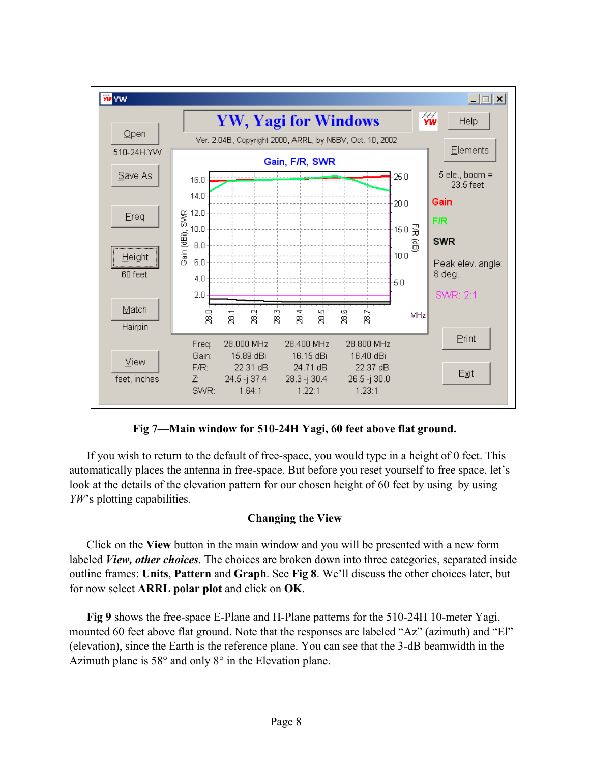

**Fig 7—Main window for 510-24H Yagi, 60 feet above flat ground.** 

If you wish to return to the default of free-space, you would type in a height of 0 feet. This automatically places the antenna in free-space. But before you reset yourself to free space, let's look at the details of the elevation pattern for our chosen height of 60 feet by using by using *YW*'s plotting capabilities.

# **Changing the View**

Click on the **View** button in the main window and you will be presented with a new form labeled *View, other choices*. The choices are broken down into three categories, separated inside outline frames: **Units**, **Pattern** and **Graph**. See **Fig 8**. We'll discuss the other choices later, but for now select **ARRL polar plot** and click on **OK**.

**Fig 9** shows the free-space E-Plane and H-Plane patterns for the 510-24H 10-meter Yagi, mounted 60 feet above flat ground. Note that the responses are labeled "Az" (azimuth) and "El" (elevation), since the Earth is the reference plane. You can see that the 3-dB beamwidth in the Azimuth plane is 58° and only 8° in the Elevation plane.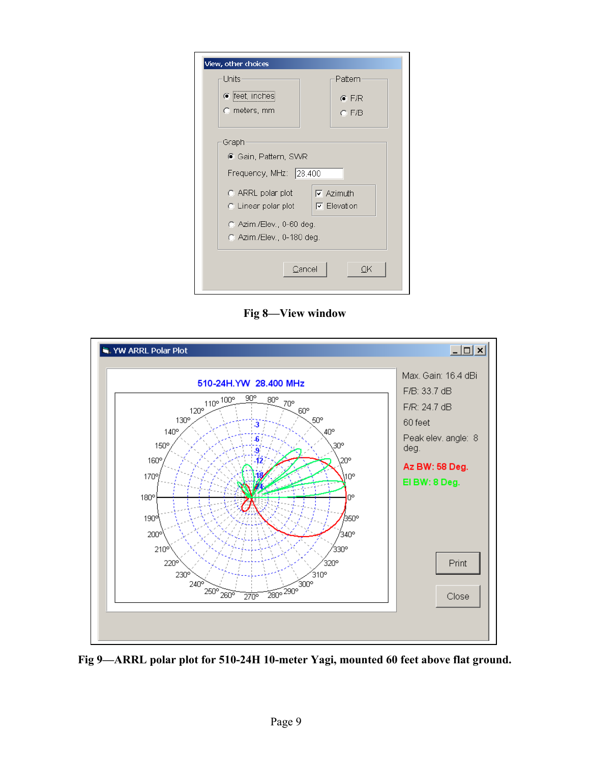| View, other choices       |                    |
|---------------------------|--------------------|
| Units                     | Pattern            |
| ● feet, inches            | $C$ F/R            |
| $\odot$ meters, mm        | $C$ F/B            |
|                           |                    |
| Graph                     |                    |
| ● Gain, Pattern, SWR      |                    |
| Frequency, MHz: 28.400    |                    |
| $\odot$ ARRL polar plot   | $\nabla$ Azimuth   |
| $\odot$ Linear polar plot | $\nabla$ Elevation |
| C Azim./Elev., 0-60 deg.  |                    |
| C Azim./Elev., 0-180 deg. |                    |
|                           |                    |
|                           | Cancel<br>ОK       |
|                           |                    |

**Fig 8—View window** 



**Fig 9—ARRL polar plot for 510-24H 10-meter Yagi, mounted 60 feet above flat ground.**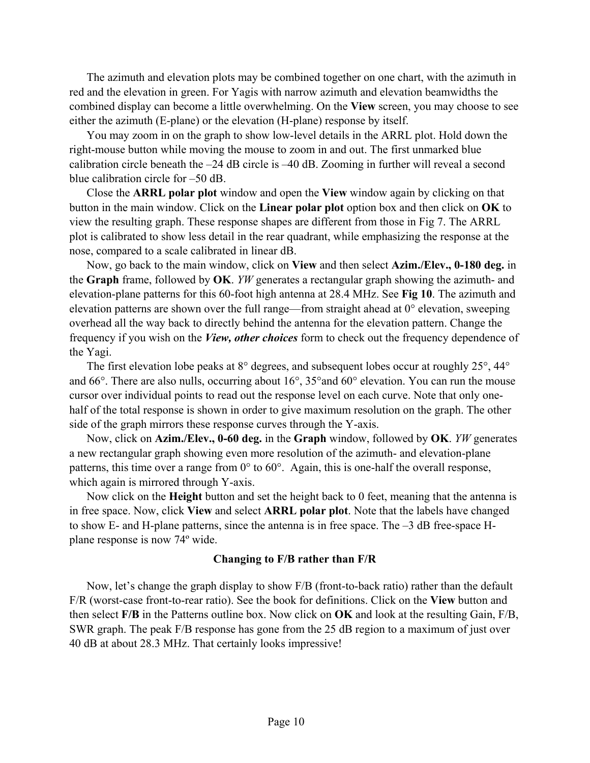The azimuth and elevation plots may be combined together on one chart, with the azimuth in red and the elevation in green. For Yagis with narrow azimuth and elevation beamwidths the combined display can become a little overwhelming. On the **View** screen, you may choose to see either the azimuth (E-plane) or the elevation (H-plane) response by itself.

You may zoom in on the graph to show low-level details in the ARRL plot. Hold down the right-mouse button while moving the mouse to zoom in and out. The first unmarked blue calibration circle beneath the –24 dB circle is –40 dB. Zooming in further will reveal a second blue calibration circle for –50 dB.

Close the **ARRL polar plot** window and open the **View** window again by clicking on that button in the main window. Click on the **Linear polar plot** option box and then click on **OK** to view the resulting graph. These response shapes are different from those in Fig 7. The ARRL plot is calibrated to show less detail in the rear quadrant, while emphasizing the response at the nose, compared to a scale calibrated in linear dB.

Now, go back to the main window, click on **View** and then select **Azim./Elev., 0-180 deg.** in the **Graph** frame, followed by **OK**. *YW* generates a rectangular graph showing the azimuth- and elevation-plane patterns for this 60-foot high antenna at 28.4 MHz. See **Fig 10**. The azimuth and elevation patterns are shown over the full range—from straight ahead at 0° elevation, sweeping overhead all the way back to directly behind the antenna for the elevation pattern. Change the frequency if you wish on the *View, other choices* form to check out the frequency dependence of the Yagi.

The first elevation lobe peaks at 8° degrees, and subsequent lobes occur at roughly 25°, 44° and 66°. There are also nulls, occurring about 16°, 35°and 60° elevation. You can run the mouse cursor over individual points to read out the response level on each curve. Note that only onehalf of the total response is shown in order to give maximum resolution on the graph. The other side of the graph mirrors these response curves through the Y-axis.

Now, click on **Azim./Elev., 0-60 deg.** in the **Graph** window, followed by **OK**. *YW* generates a new rectangular graph showing even more resolution of the azimuth- and elevation-plane patterns, this time over a range from 0° to 60°. Again, this is one-half the overall response, which again is mirrored through Y-axis.

Now click on the **Height** button and set the height back to 0 feet, meaning that the antenna is in free space. Now, click **View** and select **ARRL polar plot**. Note that the labels have changed to show E- and H-plane patterns, since the antenna is in free space. The –3 dB free-space Hplane response is now 74º wide.

# **Changing to F/B rather than F/R**

Now, let's change the graph display to show F/B (front-to-back ratio) rather than the default F/R (worst-case front-to-rear ratio). See the book for definitions. Click on the **View** button and then select **F/B** in the Patterns outline box. Now click on **OK** and look at the resulting Gain, F/B, SWR graph. The peak F/B response has gone from the 25 dB region to a maximum of just over 40 dB at about 28.3 MHz. That certainly looks impressive!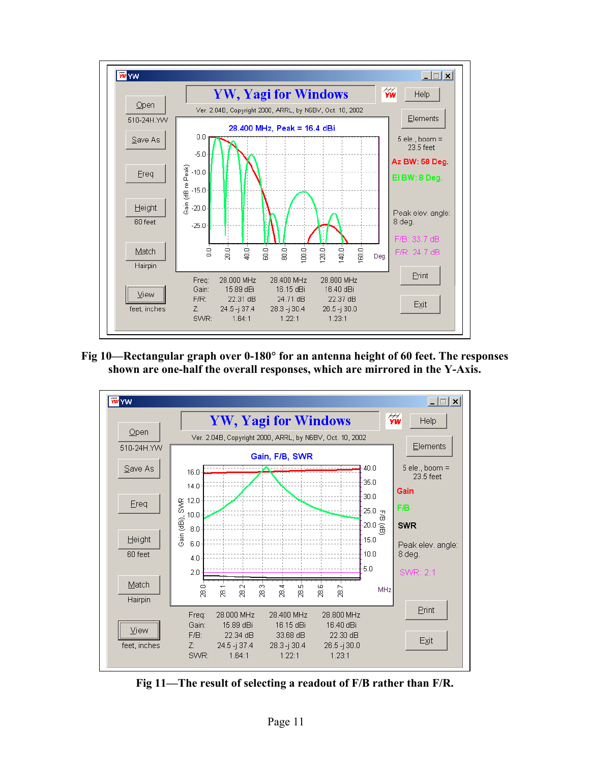

**Fig 10—Rectangular graph over 0-180**° **for an antenna height of 60 feet. The responses shown are one-half the overall responses, which are mirrored in the Y-Axis.** 



**Fig 11—The result of selecting a readout of F/B rather than F/R.**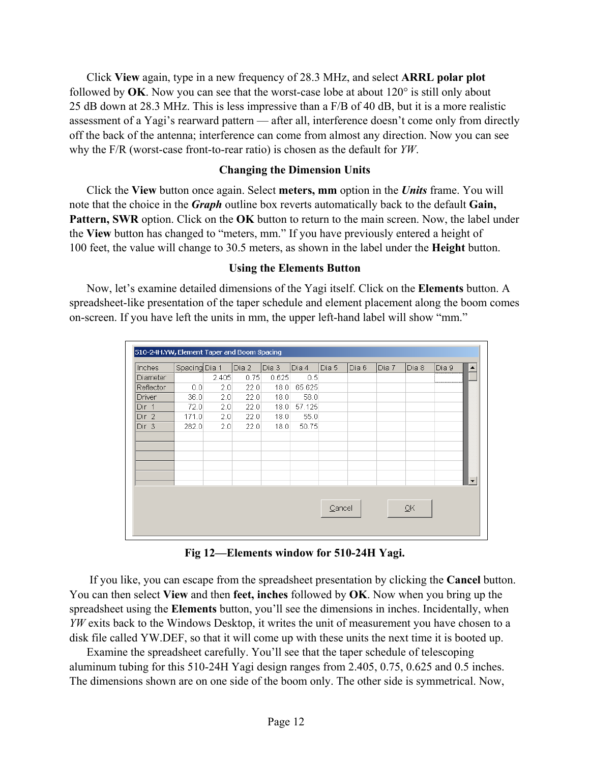Click **View** again, type in a new frequency of 28.3 MHz, and select **ARRL polar plot** followed by **OK**. Now you can see that the worst-case lobe at about 120° is still only about 25 dB down at 28.3 MHz. This is less impressive than a F/B of 40 dB, but it is a more realistic assessment of a Yagi's rearward pattern — after all, interference doesn't come only from directly off the back of the antenna; interference can come from almost any direction. Now you can see why the F/R (worst-case front-to-rear ratio) is chosen as the default for *YW*.

# **Changing the Dimension Units**

Click the **View** button once again. Select **meters, mm** option in the *Units* frame. You will note that the choice in the *Graph* outline box reverts automatically back to the default **Gain, Pattern, SWR** option. Click on the **OK** button to return to the main screen. Now, the label under the **View** button has changed to "meters, mm." If you have previously entered a height of 100 feet, the value will change to 30.5 meters, as shown in the label under the **Height** button.

# **Using the Elements Button**

Now, let's examine detailed dimensions of the Yagi itself. Click on the **Elements** button. A spreadsheet-like presentation of the taper schedule and element placement along the boom comes on-screen. If you have left the units in mm, the upper left-hand label will show "mm."

| Inches           | Spacing Dia 1 |       | Dia 2 | Dia 3 | Dia 4  | Dia 5  | Dia 6 | Dia 7 | Dia 8 | Dia 9 |  |
|------------------|---------------|-------|-------|-------|--------|--------|-------|-------|-------|-------|--|
| <b>Diameter</b>  |               | 2.405 | 0.75  | 0.625 | 0.5    |        |       |       |       |       |  |
| Reflector        | 0.0           | 2.0   | 22.0  | 18.0  | 65.625 |        |       |       |       |       |  |
| Driver           | 36.0          | 2.0   | 22.0  | 18.0  | 58.0   |        |       |       |       |       |  |
| Dir 1            | 72.0          | 2.0   | 22.0  | 18.0  | 57.125 |        |       |       |       |       |  |
| Dir <sub>2</sub> | 171.0         | 2.0   | 22.0  | 18.0  | 55.0   |        |       |       |       |       |  |
| Dir 3            | 282.0         | 2.0   | 22.0  | 18.0  | 50.75  |        |       |       |       |       |  |
|                  |               |       |       |       |        |        |       |       |       |       |  |
|                  |               |       |       |       |        |        |       |       |       |       |  |
|                  |               |       |       |       |        |        |       |       |       |       |  |
|                  |               |       |       |       |        |        |       |       |       |       |  |
|                  |               |       |       |       |        |        |       |       |       |       |  |
|                  |               |       |       |       |        |        |       |       |       |       |  |
|                  |               |       |       |       |        |        |       |       |       |       |  |
|                  |               |       |       |       |        | Cancel |       |       | QK    |       |  |

**Fig 12—Elements window for 510-24H Yagi.** 

 If you like, you can escape from the spreadsheet presentation by clicking the **Cancel** button. You can then select **View** and then **feet, inches** followed by **OK**. Now when you bring up the spreadsheet using the **Elements** button, you'll see the dimensions in inches. Incidentally, when *YW* exits back to the Windows Desktop, it writes the unit of measurement you have chosen to a disk file called YW.DEF, so that it will come up with these units the next time it is booted up.

Examine the spreadsheet carefully. You'll see that the taper schedule of telescoping aluminum tubing for this 510-24H Yagi design ranges from 2.405, 0.75, 0.625 and 0.5 inches. The dimensions shown are on one side of the boom only. The other side is symmetrical. Now,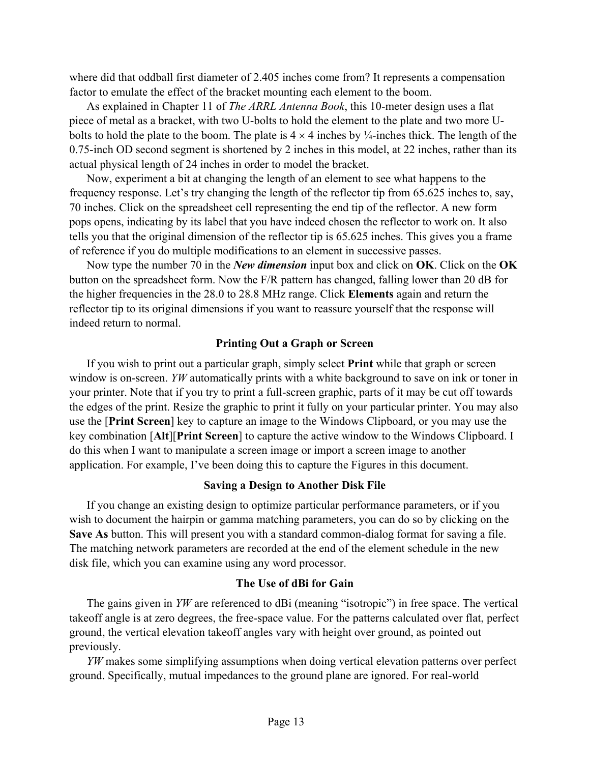where did that oddball first diameter of 2.405 inches come from? It represents a compensation factor to emulate the effect of the bracket mounting each element to the boom.

As explained in Chapter 11 of *The ARRL Antenna Book*, this 10-meter design uses a flat piece of metal as a bracket, with two U-bolts to hold the element to the plate and two more Ubolts to hold the plate to the boom. The plate is  $4 \times 4$  inches by  $\frac{1}{4}$ -inches thick. The length of the 0.75-inch OD second segment is shortened by 2 inches in this model, at 22 inches, rather than its actual physical length of 24 inches in order to model the bracket.

Now, experiment a bit at changing the length of an element to see what happens to the frequency response. Let's try changing the length of the reflector tip from 65.625 inches to, say, 70 inches. Click on the spreadsheet cell representing the end tip of the reflector. A new form pops opens, indicating by its label that you have indeed chosen the reflector to work on. It also tells you that the original dimension of the reflector tip is 65.625 inches. This gives you a frame of reference if you do multiple modifications to an element in successive passes.

Now type the number 70 in the *New dimension* input box and click on **OK**. Click on the **OK** button on the spreadsheet form. Now the F/R pattern has changed, falling lower than 20 dB for the higher frequencies in the 28.0 to 28.8 MHz range. Click **Elements** again and return the reflector tip to its original dimensions if you want to reassure yourself that the response will indeed return to normal.

# **Printing Out a Graph or Screen**

If you wish to print out a particular graph, simply select **Print** while that graph or screen window is on-screen. *YW* automatically prints with a white background to save on ink or toner in your printer. Note that if you try to print a full-screen graphic, parts of it may be cut off towards the edges of the print. Resize the graphic to print it fully on your particular printer. You may also use the [**Print Screen**] key to capture an image to the Windows Clipboard, or you may use the key combination [**Alt**][**Print Screen**] to capture the active window to the Windows Clipboard. I do this when I want to manipulate a screen image or import a screen image to another application. For example, I've been doing this to capture the Figures in this document.

# **Saving a Design to Another Disk File**

If you change an existing design to optimize particular performance parameters, or if you wish to document the hairpin or gamma matching parameters, you can do so by clicking on the **Save As** button. This will present you with a standard common-dialog format for saving a file. The matching network parameters are recorded at the end of the element schedule in the new disk file, which you can examine using any word processor.

# **The Use of dBi for Gain**

The gains given in *YW* are referenced to dBi (meaning "isotropic") in free space. The vertical takeoff angle is at zero degrees, the free-space value. For the patterns calculated over flat, perfect ground, the vertical elevation takeoff angles vary with height over ground, as pointed out previously.

*YW* makes some simplifying assumptions when doing vertical elevation patterns over perfect ground. Specifically, mutual impedances to the ground plane are ignored. For real-world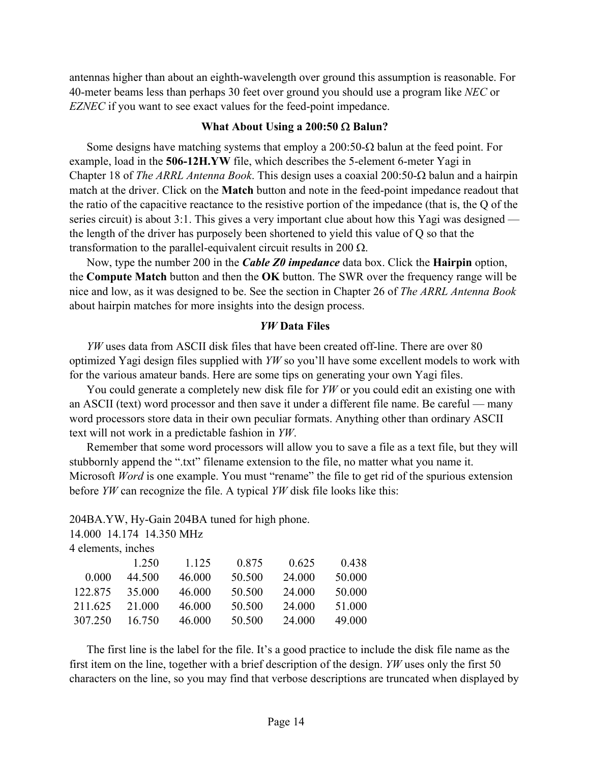antennas higher than about an eighth-wavelength over ground this assumption is reasonable. For 40-meter beams less than perhaps 30 feet over ground you should use a program like *NEC* or *EZNEC* if you want to see exact values for the feed-point impedance.

### **What About Using a 200:50** Ω **Balun?**

Some designs have matching systems that employ a 200:50-Ω balun at the feed point. For example, load in the **506-12H.YW** file, which describes the 5-element 6-meter Yagi in Chapter 18 of *The ARRL Antenna Book*. This design uses a coaxial 200:50-Ω balun and a hairpin match at the driver. Click on the **Match** button and note in the feed-point impedance readout that the ratio of the capacitive reactance to the resistive portion of the impedance (that is, the Q of the series circuit) is about 3:1. This gives a very important clue about how this Yagi was designed the length of the driver has purposely been shortened to yield this value of Q so that the transformation to the parallel-equivalent circuit results in 200  $\Omega$ .

Now, type the number 200 in the *Cable Z0 impedance* data box. Click the **Hairpin** option, the **Compute Match** button and then the **OK** button. The SWR over the frequency range will be nice and low, as it was designed to be. See the section in Chapter 26 of *The ARRL Antenna Book*  about hairpin matches for more insights into the design process.

# *YW* **Data Files**

*YW* uses data from ASCII disk files that have been created off-line. There are over 80 optimized Yagi design files supplied with *YW* so you'll have some excellent models to work with for the various amateur bands. Here are some tips on generating your own Yagi files.

You could generate a completely new disk file for *YW* or you could edit an existing one with an ASCII (text) word processor and then save it under a different file name. Be careful — many word processors store data in their own peculiar formats. Anything other than ordinary ASCII text will not work in a predictable fashion in *YW*.

Remember that some word processors will allow you to save a file as a text file, but they will stubbornly append the ".txt" filename extension to the file, no matter what you name it. Microsoft *Word* is one example. You must "rename" the file to get rid of the spurious extension before *YW* can recognize the file. A typical *YW* disk file looks like this:

204BA.YW, Hy-Gain 204BA tuned for high phone.

14.000 14.174 14.350 MHz

| 4 elements, inches |        |         |        |        |        |
|--------------------|--------|---------|--------|--------|--------|
|                    | 1 250  | 1 1 2 5 | 0.875  | 0.625  | 0.438  |
| 0.000              | 44.500 | 46.000  | 50.500 | 24,000 | 50.000 |
| 122.875            | 35.000 | 46.000  | 50.500 | 24,000 | 50.000 |
| 211.625            | 21 000 | 46.000  | 50.500 | 24,000 | 51.000 |
| 307.250            | 16.750 | 46.000  | 50.500 | 24.000 | 49.000 |

The first line is the label for the file. It's a good practice to include the disk file name as the first item on the line, together with a brief description of the design. *YW* uses only the first 50 characters on the line, so you may find that verbose descriptions are truncated when displayed by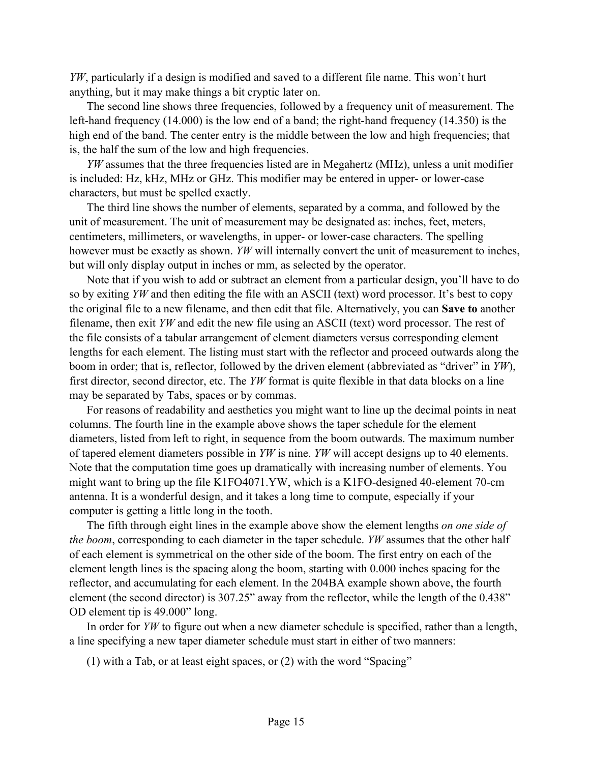*YW*, particularly if a design is modified and saved to a different file name. This won't hurt anything, but it may make things a bit cryptic later on.

The second line shows three frequencies, followed by a frequency unit of measurement. The left-hand frequency (14.000) is the low end of a band; the right-hand frequency (14.350) is the high end of the band. The center entry is the middle between the low and high frequencies; that is, the half the sum of the low and high frequencies.

*YW* assumes that the three frequencies listed are in Megahertz (MHz), unless a unit modifier is included: Hz, kHz, MHz or GHz. This modifier may be entered in upper- or lower-case characters, but must be spelled exactly.

The third line shows the number of elements, separated by a comma, and followed by the unit of measurement. The unit of measurement may be designated as: inches, feet, meters, centimeters, millimeters, or wavelengths, in upper- or lower-case characters. The spelling however must be exactly as shown. *YW* will internally convert the unit of measurement to inches, but will only display output in inches or mm, as selected by the operator.

Note that if you wish to add or subtract an element from a particular design, you'll have to do so by exiting *YW* and then editing the file with an ASCII (text) word processor. It's best to copy the original file to a new filename, and then edit that file. Alternatively, you can **Save to** another filename, then exit *YW* and edit the new file using an ASCII (text) word processor. The rest of the file consists of a tabular arrangement of element diameters versus corresponding element lengths for each element. The listing must start with the reflector and proceed outwards along the boom in order; that is, reflector, followed by the driven element (abbreviated as "driver" in *YW*), first director, second director, etc. The *YW* format is quite flexible in that data blocks on a line may be separated by Tabs, spaces or by commas.

For reasons of readability and aesthetics you might want to line up the decimal points in neat columns. The fourth line in the example above shows the taper schedule for the element diameters, listed from left to right, in sequence from the boom outwards. The maximum number of tapered element diameters possible in *YW* is nine. *YW* will accept designs up to 40 elements. Note that the computation time goes up dramatically with increasing number of elements. You might want to bring up the file K1FO4071.YW, which is a K1FO-designed 40-element 70-cm antenna. It is a wonderful design, and it takes a long time to compute, especially if your computer is getting a little long in the tooth.

The fifth through eight lines in the example above show the element lengths *on one side of the boom*, corresponding to each diameter in the taper schedule. *YW* assumes that the other half of each element is symmetrical on the other side of the boom. The first entry on each of the element length lines is the spacing along the boom, starting with 0.000 inches spacing for the reflector, and accumulating for each element. In the 204BA example shown above, the fourth element (the second director) is 307.25" away from the reflector, while the length of the 0.438" OD element tip is 49.000" long.

In order for *YW* to figure out when a new diameter schedule is specified, rather than a length, a line specifying a new taper diameter schedule must start in either of two manners:

(1) with a Tab, or at least eight spaces, or (2) with the word "Spacing"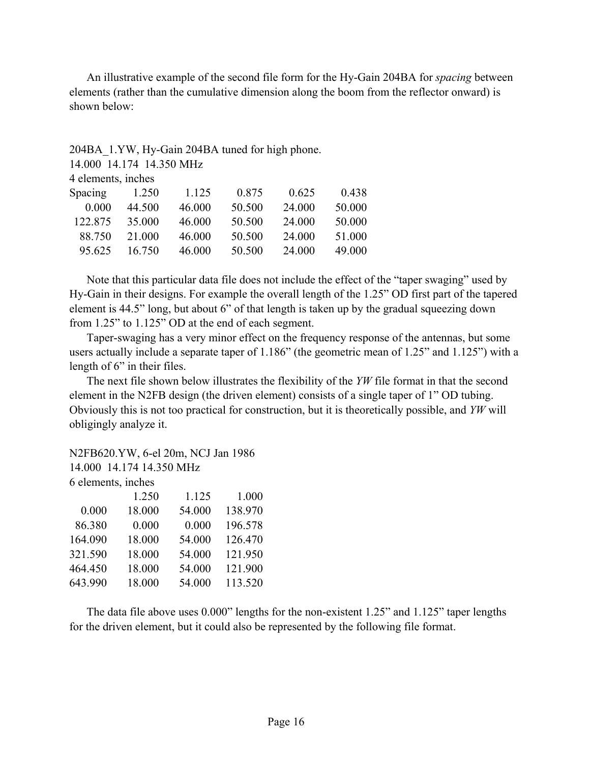An illustrative example of the second file form for the Hy-Gain 204BA for *spacing* between elements (rather than the cumulative dimension along the boom from the reflector onward) is shown below:

# 204BA\_1.YW, Hy-Gain 204BA tuned for high phone.

14.000 14.174 14.350 MHz

| <b>Spacing</b> | 1.250  | 1 1 2 5 | 0.875  | 0.625  | 0.438  |
|----------------|--------|---------|--------|--------|--------|
| 0.000          | 44.500 | 46 000  | 50.500 | 24 000 | 50.000 |
| 122.875        | 35.000 | 46 000  | 50.500 | 24 000 | 50.000 |
| 88.750         | 21 000 | 46 000  | 50.500 | 24 000 | 51 000 |
| 95.625         | 16 750 | 46.000  | 50.500 | 24 000 | 49.000 |

Note that this particular data file does not include the effect of the "taper swaging" used by Hy-Gain in their designs. For example the overall length of the 1.25" OD first part of the tapered element is 44.5" long, but about 6" of that length is taken up by the gradual squeezing down from 1.25" to 1.125" OD at the end of each segment.

Taper-swaging has a very minor effect on the frequency response of the antennas, but some users actually include a separate taper of 1.186" (the geometric mean of 1.25" and 1.125") with a length of 6" in their files.

The next file shown below illustrates the flexibility of the *YW* file format in that the second element in the N2FB design (the driven element) consists of a single taper of 1" OD tubing. Obviously this is not too practical for construction, but it is theoretically possible, and *YW* will obligingly analyze it.

|                    | N2FB620.YW, 6-el 20m, NCJ Jan 1986 |        |         |
|--------------------|------------------------------------|--------|---------|
|                    | 14.000 14.174 14.350 MHz           |        |         |
| 6 elements, inches |                                    |        |         |
|                    | 1.250                              | 1.125  | 1.000   |
| 0.000              | 18.000                             | 54.000 | 138.970 |
| 86.380             | 0.000                              | 0.000  | 196.578 |
| 164.090            | 18.000                             | 54.000 | 126.470 |
| 321.590            | 18.000                             | 54.000 | 121.950 |
| 464.450            | 18.000                             | 54.000 | 121.900 |
| 643.990            | 18.000                             | 54.000 | 113.520 |

The data file above uses 0.000" lengths for the non-existent 1.25" and 1.125" taper lengths for the driven element, but it could also be represented by the following file format.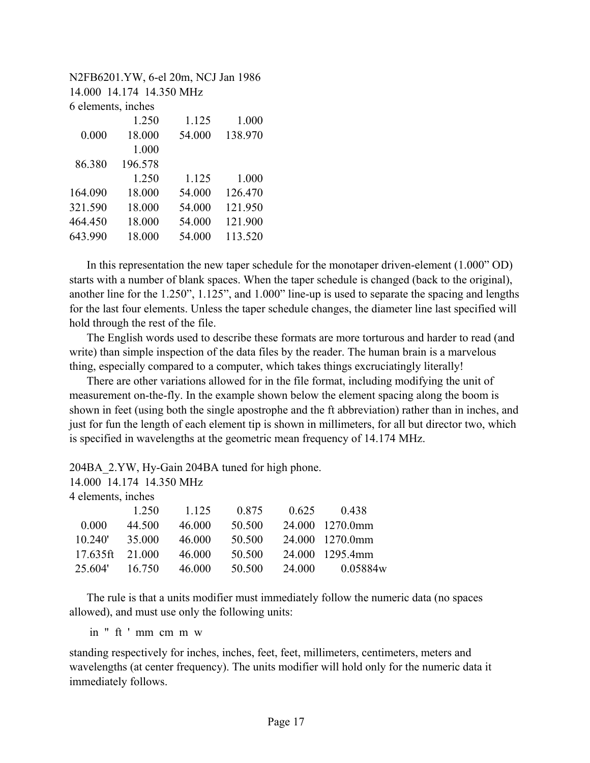N2FB6201.YW, 6-el 20m, NCJ Jan 1986 14.000 14.174 14.350 MHz 6 elements, inches

|         | 1.250   | 1.125  | 1.000   |
|---------|---------|--------|---------|
| 0.000   | 18.000  | 54.000 | 138.970 |
|         | 1.000   |        |         |
| 86.380  | 196.578 |        |         |
|         | 1.250   | 1.125  | 1.000   |
| 164.090 | 18.000  | 54.000 | 126.470 |
| 321.590 | 18.000  | 54.000 | 121.950 |
| 464.450 | 18.000  | 54.000 | 121.900 |
| 643.990 | 18.000  | 54.000 | 113.520 |
|         |         |        |         |

In this representation the new taper schedule for the monotaper driven-element (1.000" OD) starts with a number of blank spaces. When the taper schedule is changed (back to the original), another line for the 1.250", 1.125", and 1.000" line-up is used to separate the spacing and lengths for the last four elements. Unless the taper schedule changes, the diameter line last specified will hold through the rest of the file.

The English words used to describe these formats are more torturous and harder to read (and write) than simple inspection of the data files by the reader. The human brain is a marvelous thing, especially compared to a computer, which takes things excruciatingly literally!

There are other variations allowed for in the file format, including modifying the unit of measurement on-the-fly. In the example shown below the element spacing along the boom is shown in feet (using both the single apostrophe and the ft abbreviation) rather than in inches, and just for fun the length of each element tip is shown in millimeters, for all but director two, which is specified in wavelengths at the geometric mean frequency of 14.174 MHz.

204BA\_2.YW, Hy-Gain 204BA tuned for high phone.

| 0.438           |
|-----------------|
| 24.000 1270.0mm |
| 24.000 1270.0mm |
| 24.000 1295.4mm |
| 0.05884w        |
|                 |

The rule is that a units modifier must immediately follow the numeric data (no spaces allowed), and must use only the following units:

in " ft ' mm cm m w

standing respectively for inches, inches, feet, feet, millimeters, centimeters, meters and wavelengths (at center frequency). The units modifier will hold only for the numeric data it immediately follows.